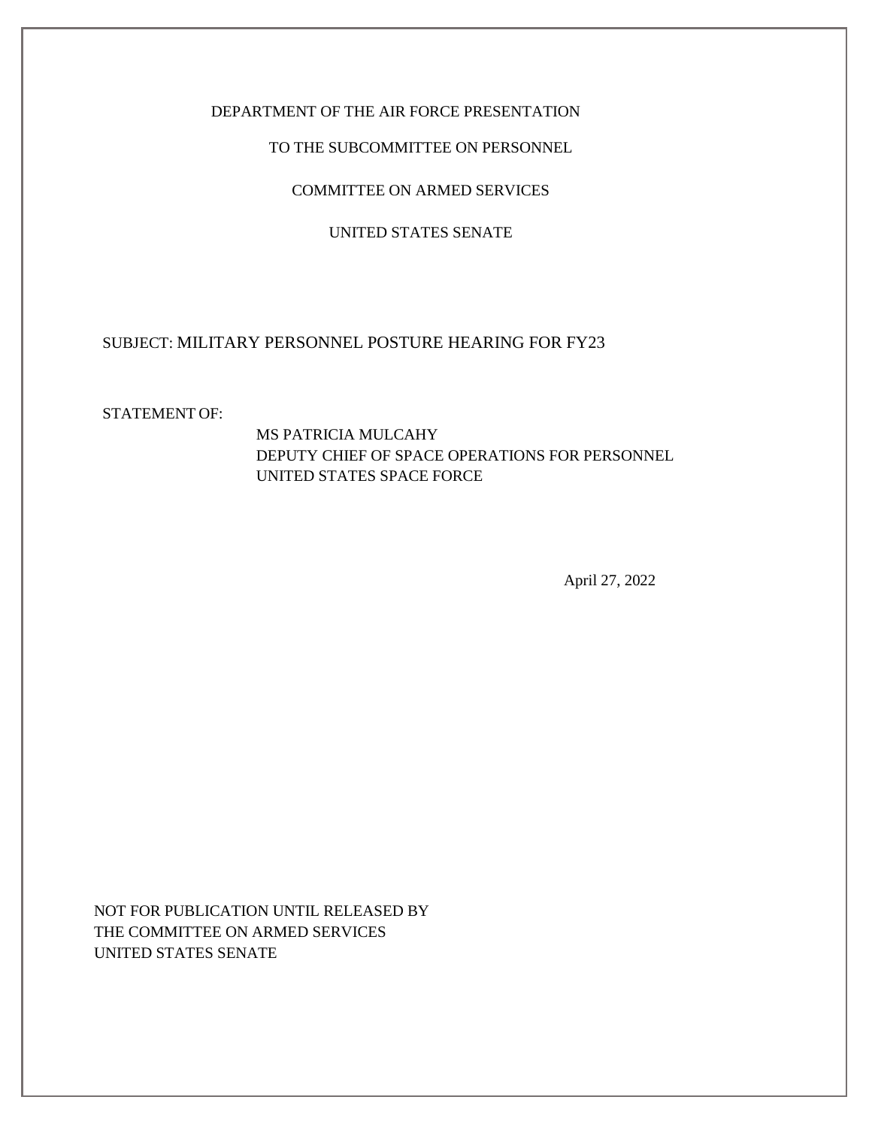## DEPARTMENT OF THE AIR FORCE PRESENTATION

#### TO THE SUBCOMMITTEE ON PERSONNEL

COMMITTEE ON ARMED SERVICES

#### UNITED STATES SENATE

## SUBJECT: MILITARY PERSONNEL POSTURE HEARING FOR FY23

#### STATEMENT OF:

MS PATRICIA MULCAHY DEPUTY CHIEF OF SPACE OPERATIONS FOR PERSONNEL UNITED STATES SPACE FORCE

April 27, 2022

NOT FOR PUBLICATION UNTIL RELEASED BY THE COMMITTEE ON ARMED SERVICES UNITED STATES SENATE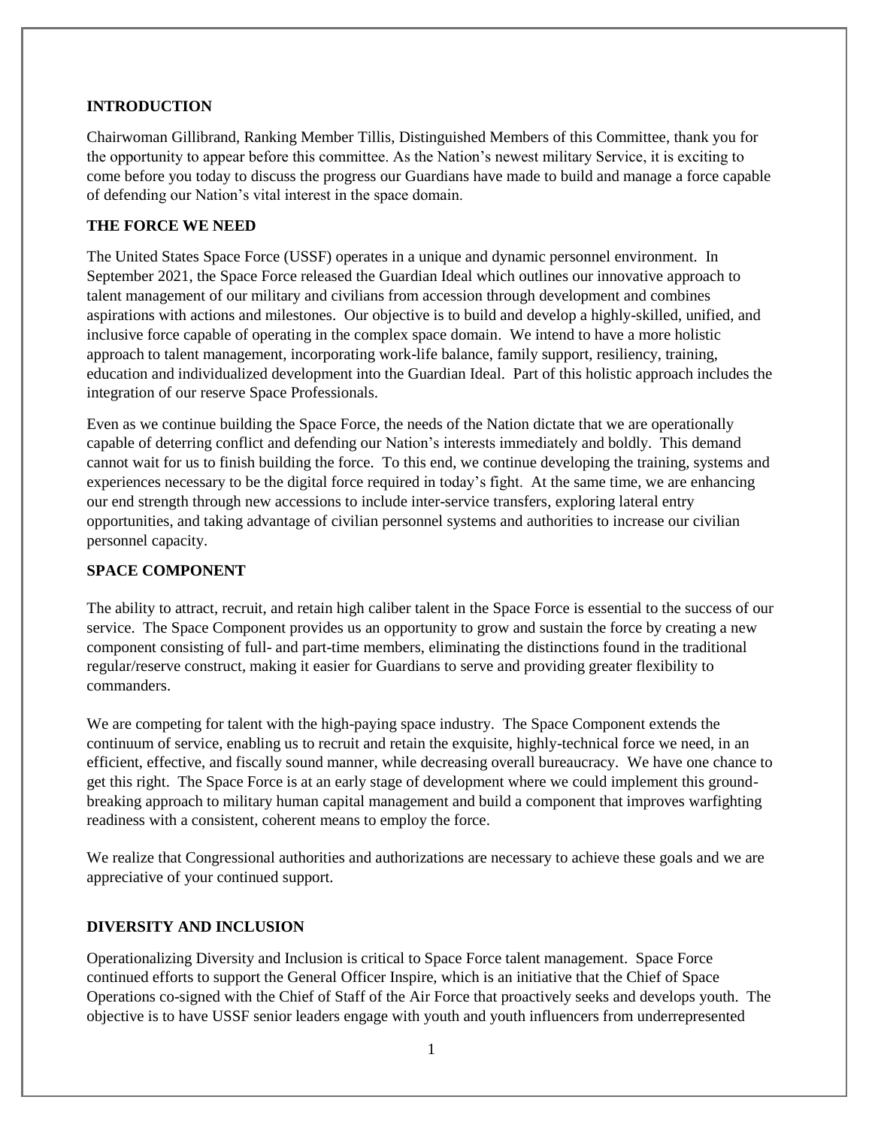## **INTRODUCTION**

Chairwoman Gillibrand, Ranking Member Tillis, Distinguished Members of this Committee, thank you for the opportunity to appear before this committee. As the Nation's newest military Service, it is exciting to come before you today to discuss the progress our Guardians have made to build and manage a force capable of defending our Nation's vital interest in the space domain.

## **THE FORCE WE NEED**

The United States Space Force (USSF) operates in a unique and dynamic personnel environment. In September 2021, the Space Force released the Guardian Ideal which outlines our innovative approach to talent management of our military and civilians from accession through development and combines aspirations with actions and milestones. Our objective is to build and develop a highly-skilled, unified, and inclusive force capable of operating in the complex space domain. We intend to have a more holistic approach to talent management, incorporating work-life balance, family support, resiliency, training, education and individualized development into the Guardian Ideal. Part of this holistic approach includes the integration of our reserve Space Professionals.

Even as we continue building the Space Force, the needs of the Nation dictate that we are operationally capable of deterring conflict and defending our Nation's interests immediately and boldly. This demand cannot wait for us to finish building the force. To this end, we continue developing the training, systems and experiences necessary to be the digital force required in today's fight. At the same time, we are enhancing our end strength through new accessions to include inter-service transfers, exploring lateral entry opportunities, and taking advantage of civilian personnel systems and authorities to increase our civilian personnel capacity.

## **SPACE COMPONENT**

The ability to attract, recruit, and retain high caliber talent in the Space Force is essential to the success of our service. The Space Component provides us an opportunity to grow and sustain the force by creating a new component consisting of full- and part-time members, eliminating the distinctions found in the traditional regular/reserve construct, making it easier for Guardians to serve and providing greater flexibility to commanders.

We are competing for talent with the high-paying space industry. The Space Component extends the continuum of service, enabling us to recruit and retain the exquisite, highly-technical force we need, in an efficient, effective, and fiscally sound manner, while decreasing overall bureaucracy. We have one chance to get this right. The Space Force is at an early stage of development where we could implement this groundbreaking approach to military human capital management and build a component that improves warfighting readiness with a consistent, coherent means to employ the force.

We realize that Congressional authorities and authorizations are necessary to achieve these goals and we are appreciative of your continued support.

# **DIVERSITY AND INCLUSION**

Operationalizing Diversity and Inclusion is critical to Space Force talent management. Space Force continued efforts to support the General Officer Inspire, which is an initiative that the Chief of Space Operations co-signed with the Chief of Staff of the Air Force that proactively seeks and develops youth. The objective is to have USSF senior leaders engage with youth and youth influencers from underrepresented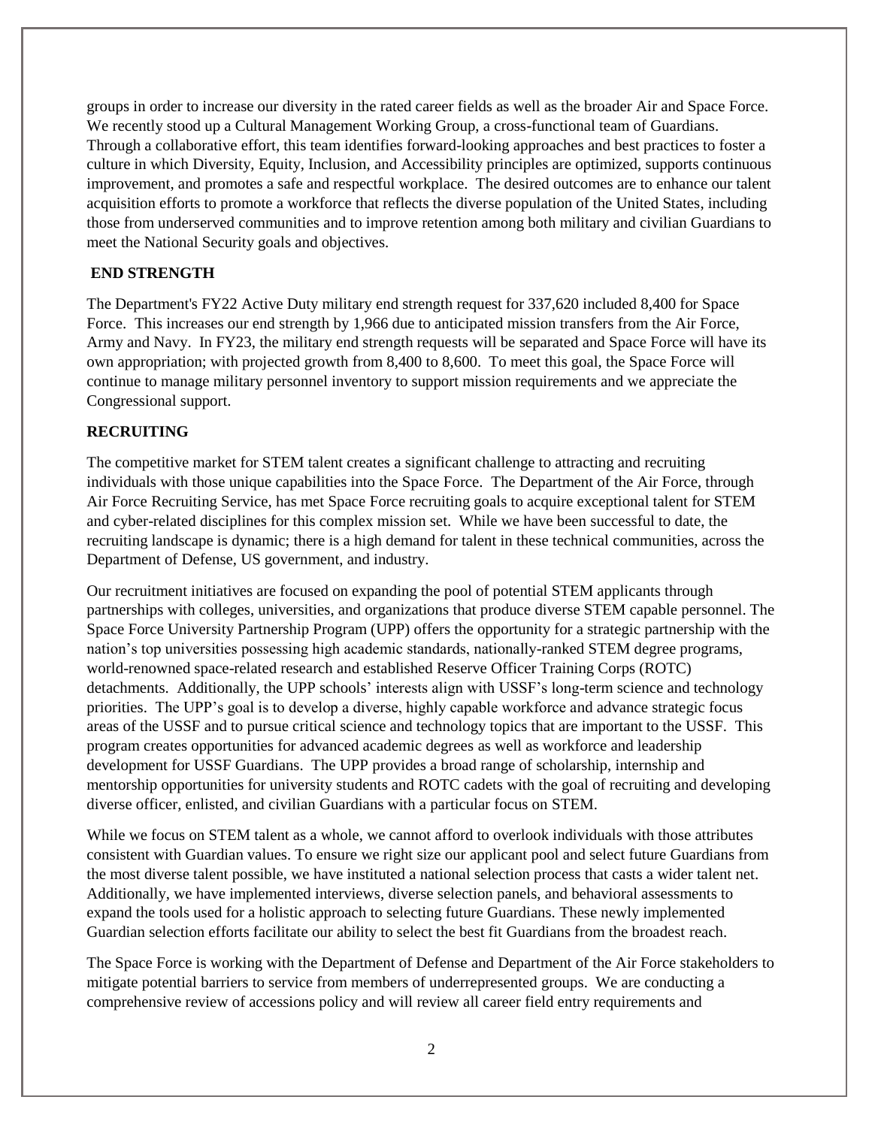groups in order to increase our diversity in the rated career fields as well as the broader Air and Space Force. We recently stood up a Cultural Management Working Group, a cross-functional team of Guardians. Through a collaborative effort, this team identifies forward-looking approaches and best practices to foster a culture in which Diversity, Equity, Inclusion, and Accessibility principles are optimized, supports continuous improvement, and promotes a safe and respectful workplace. The desired outcomes are to enhance our talent acquisition efforts to promote a workforce that reflects the diverse population of the United States, including those from underserved communities and to improve retention among both military and civilian Guardians to meet the National Security goals and objectives.

### **END STRENGTH**

The Department's FY22 Active Duty military end strength request for 337,620 included 8,400 for Space Force. This increases our end strength by 1,966 due to anticipated mission transfers from the Air Force, Army and Navy. In FY23, the military end strength requests will be separated and Space Force will have its own appropriation; with projected growth from 8,400 to 8,600. To meet this goal, the Space Force will continue to manage military personnel inventory to support mission requirements and we appreciate the Congressional support.

#### **RECRUITING**

The competitive market for STEM talent creates a significant challenge to attracting and recruiting individuals with those unique capabilities into the Space Force. The Department of the Air Force, through Air Force Recruiting Service, has met Space Force recruiting goals to acquire exceptional talent for STEM and cyber-related disciplines for this complex mission set. While we have been successful to date, the recruiting landscape is dynamic; there is a high demand for talent in these technical communities, across the Department of Defense, US government, and industry.

Our recruitment initiatives are focused on expanding the pool of potential STEM applicants through partnerships with colleges, universities, and organizations that produce diverse STEM capable personnel. The Space Force University Partnership Program (UPP) offers the opportunity for a strategic partnership with the nation's top universities possessing high academic standards, nationally-ranked STEM degree programs, world-renowned space-related research and established Reserve Officer Training Corps (ROTC) detachments. Additionally, the UPP schools' interests align with USSF's long-term science and technology priorities. The UPP's goal is to develop a diverse, highly capable workforce and advance strategic focus areas of the USSF and to pursue critical science and technology topics that are important to the USSF. This program creates opportunities for advanced academic degrees as well as workforce and leadership development for USSF Guardians. The UPP provides a broad range of scholarship, internship and mentorship opportunities for university students and ROTC cadets with the goal of recruiting and developing diverse officer, enlisted, and civilian Guardians with a particular focus on STEM.

While we focus on STEM talent as a whole, we cannot afford to overlook individuals with those attributes consistent with Guardian values. To ensure we right size our applicant pool and select future Guardians from the most diverse talent possible, we have instituted a national selection process that casts a wider talent net. Additionally, we have implemented interviews, diverse selection panels, and behavioral assessments to expand the tools used for a holistic approach to selecting future Guardians. These newly implemented Guardian selection efforts facilitate our ability to select the best fit Guardians from the broadest reach.

The Space Force is working with the Department of Defense and Department of the Air Force stakeholders to mitigate potential barriers to service from members of underrepresented groups. We are conducting a comprehensive review of accessions policy and will review all career field entry requirements and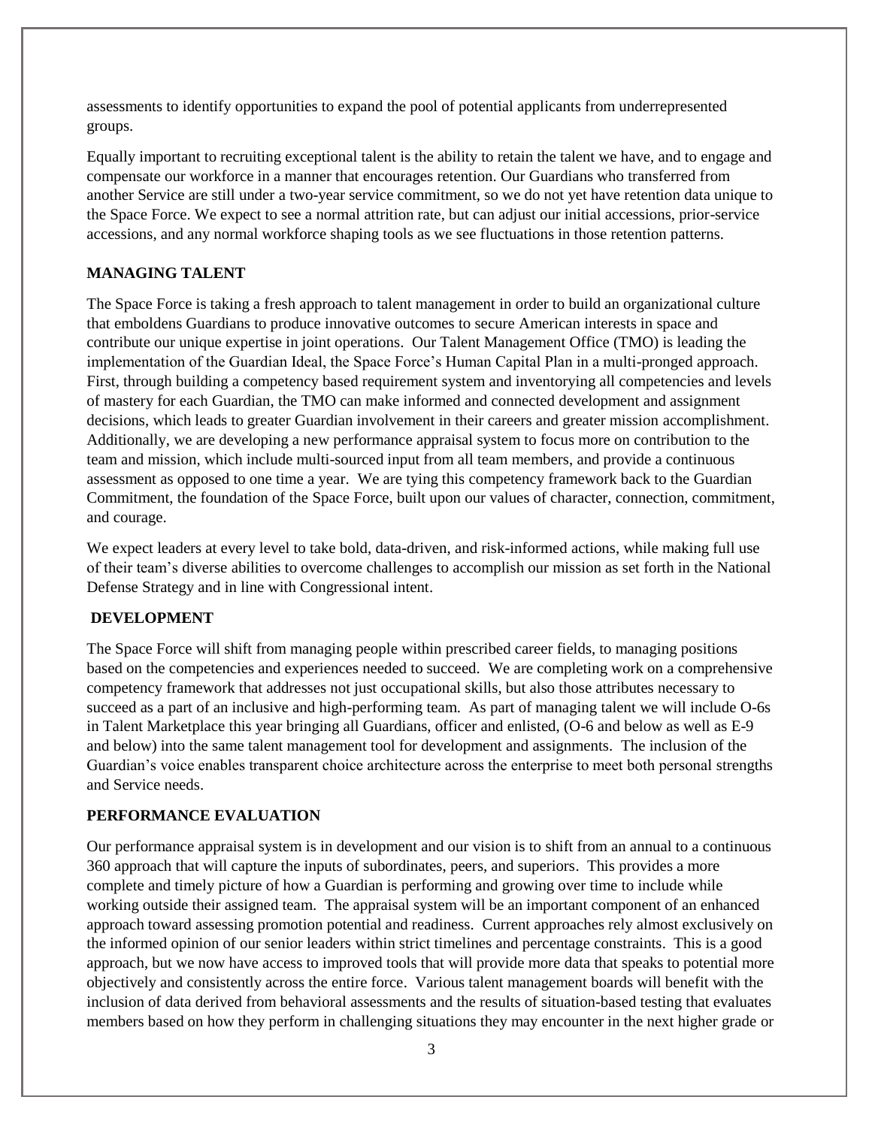assessments to identify opportunities to expand the pool of potential applicants from underrepresented groups.

Equally important to recruiting exceptional talent is the ability to retain the talent we have, and to engage and compensate our workforce in a manner that encourages retention. Our Guardians who transferred from another Service are still under a two-year service commitment, so we do not yet have retention data unique to the Space Force. We expect to see a normal attrition rate, but can adjust our initial accessions, prior-service accessions, and any normal workforce shaping tools as we see fluctuations in those retention patterns.

#### **MANAGING TALENT**

The Space Force is taking a fresh approach to talent management in order to build an organizational culture that emboldens Guardians to produce innovative outcomes to secure American interests in space and contribute our unique expertise in joint operations. Our Talent Management Office (TMO) is leading the implementation of the Guardian Ideal, the Space Force's Human Capital Plan in a multi-pronged approach. First, through building a competency based requirement system and inventorying all competencies and levels of mastery for each Guardian, the TMO can make informed and connected development and assignment decisions, which leads to greater Guardian involvement in their careers and greater mission accomplishment. Additionally, we are developing a new performance appraisal system to focus more on contribution to the team and mission, which include multi-sourced input from all team members, and provide a continuous assessment as opposed to one time a year. We are tying this competency framework back to the Guardian Commitment, the foundation of the Space Force, built upon our values of character, connection, commitment, and courage.

We expect leaders at every level to take bold, data-driven, and risk-informed actions, while making full use of their team's diverse abilities to overcome challenges to accomplish our mission as set forth in the National Defense Strategy and in line with Congressional intent.

#### **DEVELOPMENT**

The Space Force will shift from managing people within prescribed career fields, to managing positions based on the competencies and experiences needed to succeed. We are completing work on a comprehensive competency framework that addresses not just occupational skills, but also those attributes necessary to succeed as a part of an inclusive and high-performing team. As part of managing talent we will include O-6s in Talent Marketplace this year bringing all Guardians, officer and enlisted, (O-6 and below as well as E-9 and below) into the same talent management tool for development and assignments. The inclusion of the Guardian's voice enables transparent choice architecture across the enterprise to meet both personal strengths and Service needs.

#### **PERFORMANCE EVALUATION**

Our performance appraisal system is in development and our vision is to shift from an annual to a continuous 360 approach that will capture the inputs of subordinates, peers, and superiors. This provides a more complete and timely picture of how a Guardian is performing and growing over time to include while working outside their assigned team. The appraisal system will be an important component of an enhanced approach toward assessing promotion potential and readiness. Current approaches rely almost exclusively on the informed opinion of our senior leaders within strict timelines and percentage constraints. This is a good approach, but we now have access to improved tools that will provide more data that speaks to potential more objectively and consistently across the entire force. Various talent management boards will benefit with the inclusion of data derived from behavioral assessments and the results of situation-based testing that evaluates members based on how they perform in challenging situations they may encounter in the next higher grade or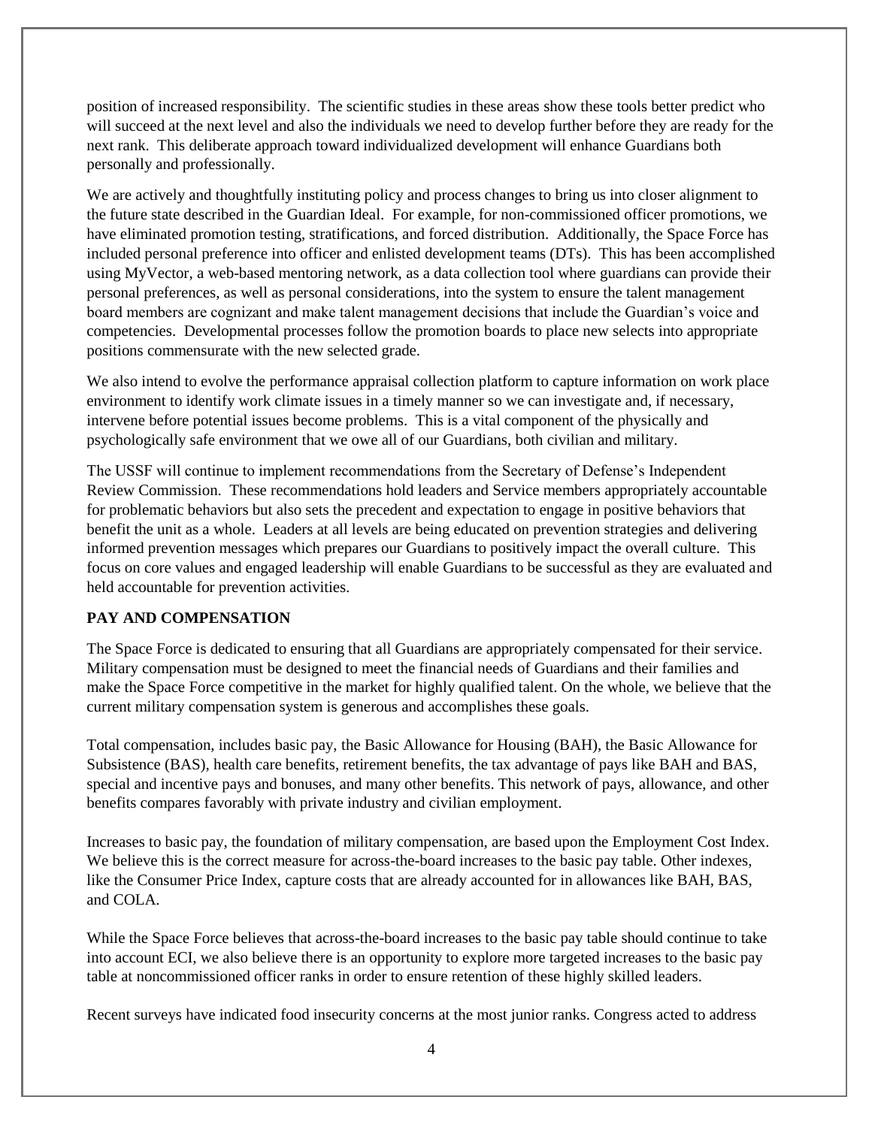position of increased responsibility. The scientific studies in these areas show these tools better predict who will succeed at the next level and also the individuals we need to develop further before they are ready for the next rank. This deliberate approach toward individualized development will enhance Guardians both personally and professionally.

We are actively and thoughtfully instituting policy and process changes to bring us into closer alignment to the future state described in the Guardian Ideal. For example, for non-commissioned officer promotions, we have eliminated promotion testing, stratifications, and forced distribution. Additionally, the Space Force has included personal preference into officer and enlisted development teams (DTs). This has been accomplished using MyVector, a web-based mentoring network, as a data collection tool where guardians can provide their personal preferences, as well as personal considerations, into the system to ensure the talent management board members are cognizant and make talent management decisions that include the Guardian's voice and competencies. Developmental processes follow the promotion boards to place new selects into appropriate positions commensurate with the new selected grade.

We also intend to evolve the performance appraisal collection platform to capture information on work place environment to identify work climate issues in a timely manner so we can investigate and, if necessary, intervene before potential issues become problems. This is a vital component of the physically and psychologically safe environment that we owe all of our Guardians, both civilian and military.

The USSF will continue to implement recommendations from the Secretary of Defense's Independent Review Commission. These recommendations hold leaders and Service members appropriately accountable for problematic behaviors but also sets the precedent and expectation to engage in positive behaviors that benefit the unit as a whole. Leaders at all levels are being educated on prevention strategies and delivering informed prevention messages which prepares our Guardians to positively impact the overall culture. This focus on core values and engaged leadership will enable Guardians to be successful as they are evaluated and held accountable for prevention activities.

## **PAY AND COMPENSATION**

The Space Force is dedicated to ensuring that all Guardians are appropriately compensated for their service. Military compensation must be designed to meet the financial needs of Guardians and their families and make the Space Force competitive in the market for highly qualified talent. On the whole, we believe that the current military compensation system is generous and accomplishes these goals.

Total compensation, includes basic pay, the Basic Allowance for Housing (BAH), the Basic Allowance for Subsistence (BAS), health care benefits, retirement benefits, the tax advantage of pays like BAH and BAS, special and incentive pays and bonuses, and many other benefits. This network of pays, allowance, and other benefits compares favorably with private industry and civilian employment.

Increases to basic pay, the foundation of military compensation, are based upon the Employment Cost Index. We believe this is the correct measure for across-the-board increases to the basic pay table. Other indexes, like the Consumer Price Index, capture costs that are already accounted for in allowances like BAH, BAS, and COLA.

While the Space Force believes that across-the-board increases to the basic pay table should continue to take into account ECI, we also believe there is an opportunity to explore more targeted increases to the basic pay table at noncommissioned officer ranks in order to ensure retention of these highly skilled leaders.

Recent surveys have indicated food insecurity concerns at the most junior ranks. Congress acted to address